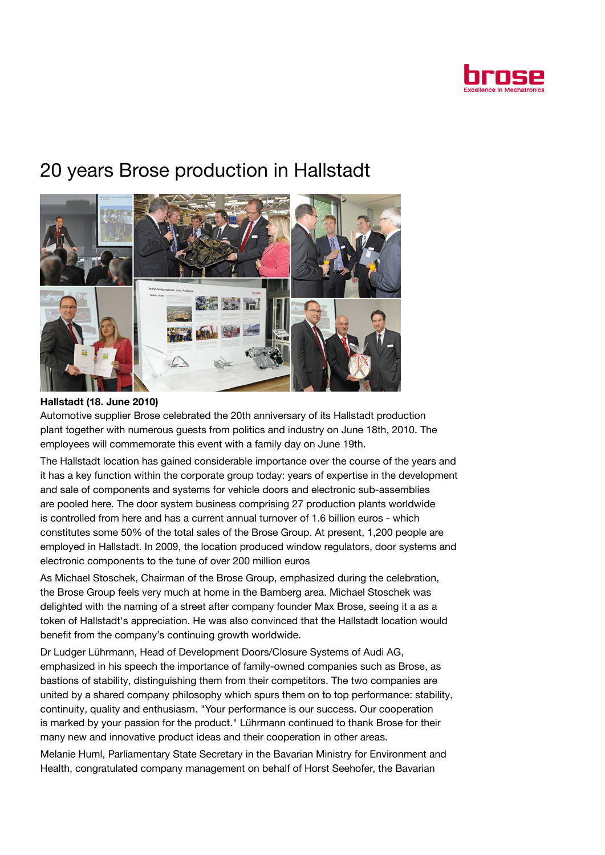

# 20 years Brose production in Hallstadt



## Hallstadt (18. June 2010)

Automotive supplier Brose celebrated the 20th anniversary of its Hallstadt production plant together with numerous guests from politics and industry on June 18th, 2010. The employees will commemorate this event with a family day on June 19th.

The Hallstadt location has gained considerable importance over the course of the years and it has a key function within the corporate group today: years of expertise in the development and sale of components and systems for vehicle doors and electronic sub-assemblies are pooled here. The door system business comprising 27 production plants worldwide is controlled from here and has a current annual turnover of 1.6 billion euros - which constitutes some 50% of the total sales of the Brose Group. At present, 1,200 people are employed in Hallstadt. In 2009, the location produced window regulators, door systems and electronic components to the tune of over 200 million euros

As Michael Stoschek, Chairman of the Brose Group, emphasized during the celebration, the Brose Group feels very much at home in the Bamberg area. Michael Stoschek was delighted with the naming of a street after company founder Max Brose, seeing it a as a token of Hallstadt's appreciation. He was also convinced that the Hallstadt location would benefit from the company's continuing growth worldwide.

Dr Ludger Lührmann, Head of Development Doors/Closure Systems of Audi AG, emphasized in his speech the importance of family-owned companies such as Brose, as bastions of stability, distinguishing them from their competitors. The two companies are united by a shared company philosophy which spurs them on to top performance: stability, continuity, quality and enthusiasm. "Your performance is our success. Our cooperation is marked by your passion for the product." Lührmann continued to thank Brose for their many new and innovative product ideas and their cooperation in other areas.

Melanie Huml, Parliamentary State Secretary in the Bavarian Ministry for Environment and Health, congratulated company management on behalf of Horst Seehofer, the Bavarian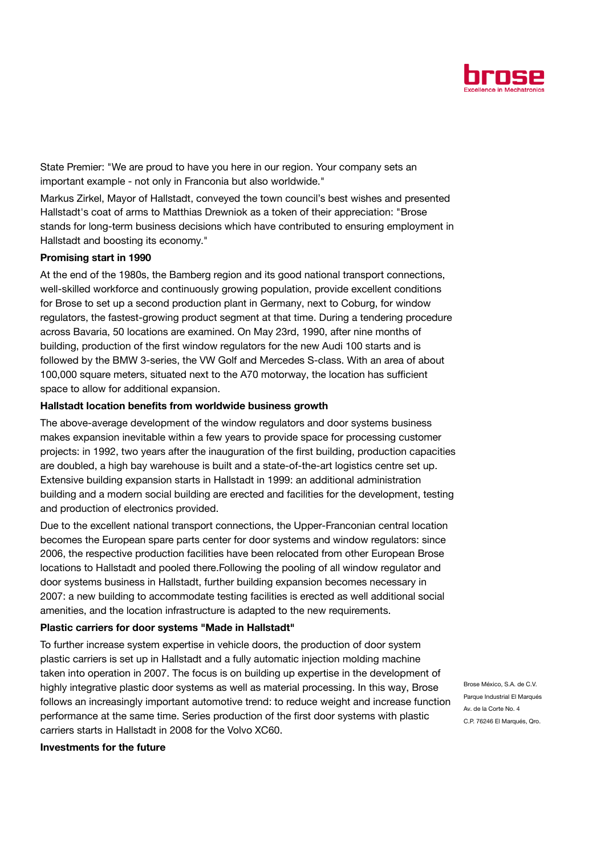

State Premier: "We are proud to have you here in our region. Your company sets an important example - not only in Franconia but also worldwide."

Markus Zirkel, Mayor of Hallstadt, conveyed the town council's best wishes and presented Hallstadt's coat of arms to Matthias Drewniok as a token of their appreciation: "Brose stands for long-term business decisions which have contributed to ensuring employment in Hallstadt and boosting its economy."

#### Promising start in 1990

At the end of the 1980s, the Bamberg region and its good national transport connections, well-skilled workforce and continuously growing population, provide excellent conditions for Brose to set up a second production plant in Germany, next to Coburg, for window regulators, the fastest-growing product segment at that time. During a tendering procedure across Bavaria, 50 locations are examined. On May 23rd, 1990, after nine months of building, production of the first window regulators for the new Audi 100 starts and is followed by the BMW 3-series, the VW Golf and Mercedes S-class. With an area of about 100,000 square meters, situated next to the A70 motorway, the location has sufficient space to allow for additional expansion.

#### Hallstadt location benefits from worldwide business growth

The above-average development of the window regulators and door systems business makes expansion inevitable within a few years to provide space for processing customer projects: in 1992, two years after the inauguration of the first building, production capacities are doubled, a high bay warehouse is built and a state-of-the-art logistics centre set up. Extensive building expansion starts in Hallstadt in 1999: an additional administration building and a modern social building are erected and facilities for the development, testing and production of electronics provided.

Due to the excellent national transport connections, the Upper-Franconian central location becomes the European spare parts center for door systems and window regulators: since 2006, the respective production facilities have been relocated from other European Brose locations to Hallstadt and pooled there.Following the pooling of all window regulator and door systems business in Hallstadt, further building expansion becomes necessary in 2007: a new building to accommodate testing facilities is erected as well additional social amenities, and the location infrastructure is adapted to the new requirements.

### Plastic carriers for door systems "Made in Hallstadt"

To further increase system expertise in vehicle doors, the production of door system plastic carriers is set up in Hallstadt and a fully automatic injection molding machine taken into operation in 2007. The focus is on building up expertise in the development of highly integrative plastic door systems as well as material processing. In this way, Brose follows an increasingly important automotive trend: to reduce weight and increase function performance at the same time. Series production of the first door systems with plastic carriers starts in Hallstadt in 2008 for the Volvo XC60.

Brose México, S.A. de C.V. Parque Industrial El Marqués Av. de la Corte No. 4 C.P. 76246 El Marqués, Qro.

#### Investments for the future